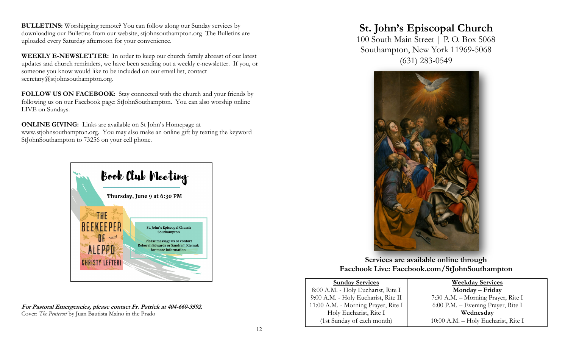**BULLETINS:** Worshipping remote? You can follow along our Sunday services by downloading our Bulletins from our website, stjohnsouthampton.org The Bulletins are uploaded every Saturday afternoon for your convenience.

**WEEKLY E-NEWSLETTER:** In order to keep our church family abreast of our latest updates and church reminders, we have been sending out a weekly e-newsletter. If you, or someone you know would like to be included on our email list, contact secretary@stjohnsouthampton.org.

FOLLOW US ON FACEBOOK: Stay connected with the church and your friends by following us on our Facebook page: StJohnSouthampton. You can also worship online LIVE on Sundays.

**ONLINE GIVING:** Links are available on St John's Homepage at www.stjohnsouthampton.org. You may also make an online gift by texting the keyword StJohnSouthampton to 73256 on your cell phone.



**For Pastoral Emergencies, please contact Fr. Patrick at 404-660-3592.** Cover: *The Pentecost* by Juan Bautista Maíno in the Prado

**St. John's Episcopal Church**

100 South Main Street | P. O. Box 5068 Southampton, New York 11969-5068 (631) 283-0549



**Services are available online through Facebook Live: [Facebook.com/StJohnSouthampton](https://www.facebook.com/StJohnSouthampton/)**

**Sunday Services** 8:00 A.M. - Holy Eucharist, Rite I 9:00 A.M. - Holy Eucharist, Rite II 11:00 A.M. - Morning Prayer, Rite I Holy Eucharist, Rite I (1st Sunday of each month)

**Weekday Services Monday – Friday** 7:30 A.M. – Morning Prayer, Rite I 6:00 P.M. – Evening Prayer, Rite I **Wednesday** 10:00 A.M. – Holy Eucharist, Rite I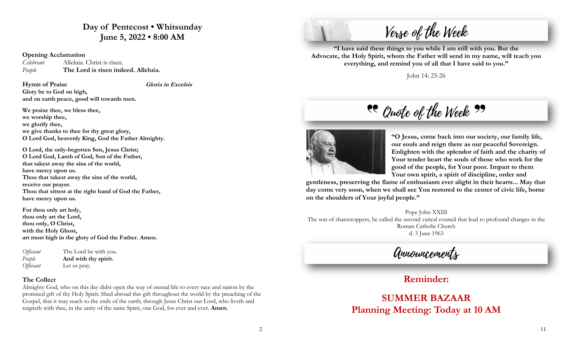**Day of Pentecost • Whitsunday June 5, 2022 • 8:00 AM** 

#### **Opening Acclamation**

*Celebrant* Alleluia. Christ is risen. *People* **The Lord is risen indeed. Alleluia.** 

**Hymn of Praise Gloria in Excelsis Glory be to God on high, and on earth peace, good will towards men.**

**We praise thee, we bless thee, we worship thee, we glorify thee, we give thanks to thee for thy great glory, O Lord God, heavenly King, God the Father Almighty.**

**O Lord, the only-begotten Son, Jesus Christ; O Lord God, Lamb of God, Son of the Father, that takest away the sins of the world, have mercy upon us. Thou that takest away the sins of the world, receive our prayer. Thou that sittest at the right hand of God the Father, have mercy upon us.**

**For thou only art holy, thou only art the Lord, thou only, O Christ, with the Holy Ghost, art most high in the glory of God the Father. Amen.**

*Officiant* The Lord be with you. *People* **And with thy spirit.** *Officiant* Let us pray.

#### **The Collect**

Almighty God, who on this day didst open the way of eternal life to every race and nation by the promised gift of thy Holy Spirit: Shed abroad this gift throughout the world by the preaching of the Gospel, that it may reach to the ends of the earth; through Jesus Christ our Lord, who liveth and reigneth with thee, in the unity of the same Spirit, one God, for ever and ever. **Amen.**

Verse of the Week

**"I have said these things to you while I am still with you. But the Advocate, the Holy Spirit, whom the Father will send in my name, will teach you everything, and remind you of all that I have said to you."** 

John 14: 25-26





**"O Jesus, come back into our society, our family life, our souls and reign there as our peaceful Sovereign. Enlighten with the splendor of faith and the charity of Your tender heart the souls of those who work for the good of the people, for Your poor. Impart to them Your own spirit, a spirit of discipline, order and** 

**gentleness, preserving the flame of enthusiasm ever alight in their hearts... May that day come very soon, when we shall see You restored to the center of civic life, borne on the shoulders of Your joyful people."** 

Pope John XXIII The son of sharecroppers, he called the second vatical council that lead to profound changes in the Roman Catholic Church d. 3 June 1963

Gunouncements

**Reminder:**

**SUMMER BAZAAR Planning Meeting: Today at 10 AM**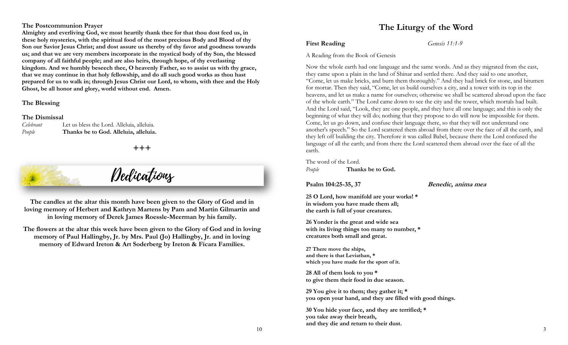#### **The Postcommunion Prayer**

**Almighty and everliving God, we most heartily thank thee for that thou dost feed us, in these holy mysteries, with the spiritual food of the most precious Body and Blood of thy Son our Savior Jesus Christ; and dost assure us thereby of thy favor and goodness towards us; and that we are very members incorporate in the mystical body of thy Son, the blessed company of all faithful people; and are also heirs, through hope, of thy everlasting kingdom. And we humbly beseech thee, O heavenly Father, so to assist us with thy grace, that we may continue in that holy fellowship, and do all such good works as thou hast prepared for us to walk in; through Jesus Christ our Lord, to whom, with thee and the Holy Ghost, be all honor and glory, world without end. Amen.**

#### **The Blessing**

#### **The Dismissal**

*Celebrant* Let us bless the Lord. Alleluia, alleluia. *People* **Thanks be to God. Alleluia, alleluia.** 

**+++**



# Dedications

**The candles at the altar this month have been given to the Glory of God and in loving memory of Herbert and Kathryn Martens by Pam and Martin Gilmartin and in loving memory of Derek James Roessle-Meerman by his family.** 

**The flowers at the altar this week have been given to the Glory of God and in loving memory of Paul Hallingby, Jr. by Mrs. Paul (Jo) Hallingby, Jr. and in loving memory of Edward Ireton & Art Soderberg by Ireton & Ficara Families.**

## **The Liturgy of the Word**

**First Reading** *Genesis 11:1-9*

A Reading from the Book of Genesis

Now the whole earth had one language and the same words. And as they migrated from the east, they came upon a plain in the land of Shinar and settled there. And they said to one another, "Come, let us make bricks, and burn them thoroughly." And they had brick for stone, and bitumen for mortar. Then they said, "Come, let us build ourselves a city, and a tower with its top in the heavens, and let us make a name for ourselves; otherwise we shall be scattered abroad upon the face of the whole earth." The Lord came down to see the city and the tower, which mortals had built. And the Lord said, "Look, they are one people, and they have all one language; and this is only the beginning of what they will do; nothing that they propose to do will now be impossible for them. Come, let us go down, and confuse their language there, so that they will not understand one another's speech." So the Lord scattered them abroad from there over the face of all the earth, and they left off building the city. Therefore it was called Babel, because there the Lord confused the language of all the earth; and from there the Lord scattered them abroad over the face of all the earth.

The word of the Lord. *People* **Thanks be to God.**

**Psalm 104:25-35, 37 Benedic, anima mea**

**25 O Lord, how manifold are your works! \* in wisdom you have made them all; the earth is full of your creatures.**

**26 Yonder is the great and wide sea with its living things too many to number, \* creatures both small and great.**

**27 There move the ships, and there is that Leviathan, \* which you have made for the sport of it.**

**28 All of them look to you \* to give them their food in due season.**

**29 You give it to them; they gather it; \* you open your hand, and they are filled with good things.**

**30 You hide your face, and they are terrified; \* you take away their breath, and they die and return to their dust.**

10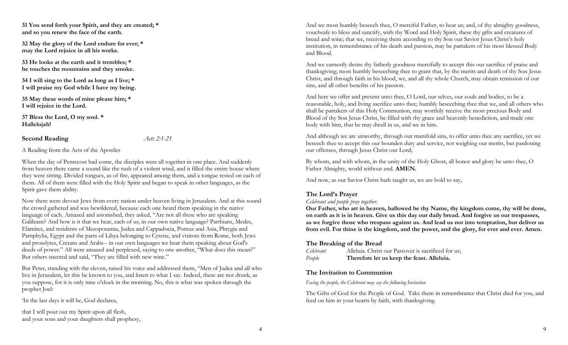**31 You send forth your Spirit, and they are created; \* and so you renew the face of the earth.**

**32 May the glory of the Lord endure for ever; \* may the Lord rejoice in all his works.**

**33 He looks at the earth and it trembles; \* he touches the mountains and they smoke.**

**34 I will sing to the Lord as long as I live; \* I will praise my God while I have my being.**

**35 May these words of mine please him; \* I will rejoice in the Lord.**

**37 Bless the Lord, O my soul. \* Hallelujah!**

#### **Second Reading** *Acts 2:1-21*

A Reading from the Acts of the Apostles

When the day of Pentecost had come, the disciples were all together in one place. And suddenly from heaven there came a sound like the rush of a violent wind, and it filled the entire house where they were sitting. Divided tongues, as of fire, appeared among them, and a tongue rested on each of them. All of them were filled with the Holy Spirit and began to speak in other languages, as the Spirit gave them ability.

Now there were devout Jews from every nation under heaven living in Jerusalem. And at this sound the crowd gathered and was bewildered, because each one heard them speaking in the native language of each. Amazed and astonished, they asked, "Are not all these who are speaking Galileans? And how is it that we hear, each of us, in our own native language? Parthians, Medes, Elamites, and residents of Mesopotamia, Judea and Cappadocia, Pontus and Asia, Phrygia and Pamphylia, Egypt and the parts of Libya belonging to Cyrene, and visitors from Rome, both Jews and proselytes, Cretans and Arabs-- in our own languages we hear them speaking about God's deeds of power." All were amazed and perplexed, saying to one another, "What does this mean?" But others sneered and said, "They are filled with new wine."

But Peter, standing with the eleven, raised his voice and addressed them, "Men of Judea and all who live in Jerusalem, let this be known to you, and listen to what I say. Indeed, these are not drunk, as you suppose, for it is only nine o'clock in the morning. No, this is what was spoken through the prophet Joel:

'In the last days it will be, God declares,

that I will pour out my Spirit upon all flesh, and your sons and your daughters shall prophesy, And we most humbly beseech thee, O merciful Father, to hear us; and, of thy almighty goodness, vouchsafe to bless and sanctify, with thy Word and Holy Spirit, these thy gifts and creatures of bread and wine; that we, receiving them according to thy Son our Savior Jesus Christ's holy institution, in remembrance of his death and passion, may be partakers of his most blessed Body and Blood.

And we earnestly desire thy fatherly goodness mercifully to accept this our sacrifice of praise and thanksgiving; most humbly beseeching thee to grant that, by the merits and death of thy Son Jesus Christ, and through faith in his blood, we, and all thy whole Church, may obtain remission of our sins, and all other benefits of his passion.

And here we offer and present unto thee, O Lord, our selves, our souls and bodies, to be a reasonable, holy, and living sacrifice unto thee; humbly beseeching thee that we, and all others who shall be partakers of this Holy Communion, may worthily receive the most precious Body and Blood of thy Son Jesus Christ, be filled with thy grace and heavenly benediction, and made one body with him, that he may dwell in us, and we in him.

And although we are unworthy, through our manifold sins, to offer unto thee any sacrifice, yet we beseech thee to accept this our bounden duty and service, not weighing our merits, but pardoning our offenses, through Jesus Christ our Lord;

By whom, and with whom, in the unity of the Holy Ghost, all honor and glory be unto thee, O Father Almighty, world without end. **AMEN.**

And now, as our Savior Christ hath taught us, we are bold to say,

### **The Lord's Prayer**

*Celebrant and people pray together*.

**Our Father, who art in heaven, hallowed be thy Name, thy kingdom come, thy will be done, on earth as it is in heaven. Give us this day our daily bread. And forgive us our trespasses, as we forgive those who trespass against us. And lead us not into temptation, but deliver us from evil. For thine is the kingdom, and the power, and the glory, for ever and ever. Amen.**

#### **The Breaking of the Bread**

```
Celebrant Alleluia. Christ our Passover is sacrificed for us;
People Therefore let us keep the feast. Alleluia.
```
#### **The Invitation to Communion**

*Facing the people, the Celebrant may say the following Invitation* 

The Gifts of God for the People of God. Take them in remembrance that Christ died for you, and feed on him in your hearts by faith, with thanksgiving.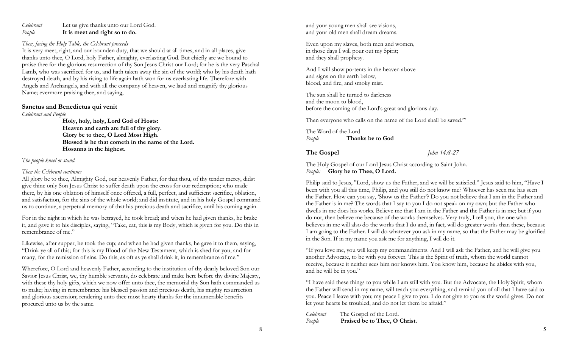#### *Celebrant* Let us give thanks unto our Lord God. *People* **It is meet and right so to do.**

#### *Then, facing the Holy Table, the Celebrant proceeds*

It is very meet, right, and our bounden duty, that we should at all times, and in all places, give thanks unto thee, O Lord, holy Father, almighty, everlasting God. But chiefly are we bound to praise thee for the glorious resurrection of thy Son Jesus Christ our Lord; for he is the very Paschal Lamb, who was sacrificed for us, and hath taken away the sin of the world; who by his death hath destroyed death, and by his rising to life again hath won for us everlasting life. Therefore with Angels and Archangels, and with all the company of heaven, we laud and magnify thy glorious Name; evermore praising thee, and saying,

#### **Sanctus and Benedictus qui venit**

*Celebrant and People*

**Holy, holy, holy, Lord God of Hosts: Heaven and earth are full of thy glory. Glory be to thee, O Lord Most High. Blessed is he that cometh in the name of the Lord. Hosanna in the highest.**

#### *The people kneel or stand.*

#### *Then the Celebrant continues*

All glory be to thee, Almighty God, our heavenly Father, for that thou, of thy tender mercy, didst give thine only Son Jesus Christ to suffer death upon the cross for our redemption; who made there, by his one oblation of himself once offered, a full, perfect, and sufficient sacrifice, oblation, and satisfaction, for the sins of the whole world; and did institute, and in his holy Gospel command us to continue, a perpetual memory of that his precious death and sacrifice, until his coming again.

For in the night in which he was betrayed, he took bread; and when he had given thanks, he brake it, and gave it to his disciples, saying, "Take, eat, this is my Body, which is given for you. Do this in remembrance of me."

Likewise, after supper, he took the cup; and when he had given thanks, he gave it to them, saying, "Drink ye all of this; for this is my Blood of the New Testament, which is shed for you, and for many, for the remission of sins. Do this, as oft as ye shall drink it, in remembrance of me."

Wherefore, O Lord and heavenly Father, according to the institution of thy dearly beloved Son our Savior Jesus Christ, we, thy humble servants, do celebrate and make here before thy divine Majesty, with these thy holy gifts, which we now offer unto thee, the memorial thy Son hath commanded us to make; having in remembrance his blessed passion and precious death, his mighty resurrection and glorious ascension; rendering unto thee most hearty thanks for the innumerable benefits procured unto us by the same.

and your young men shall see visions, and your old men shall dream dreams.

Even upon my slaves, both men and women, in those days I will pour out my Spirit; and they shall prophesy.

And I will show portents in the heaven above and signs on the earth below, blood, and fire, and smoky mist.

The sun shall be turned to darkness and the moon to blood, before the coming of the Lord's great and glorious day.

Then everyone who calls on the name of the Lord shall be saved."

The Word of the Lord *People* **Thanks be to God** 

### **The Gospel** *John 14:8-27*

The Holy Gospel of our Lord Jesus Christ according to Saint John. *People:* **Glory be to Thee, O Lord.**

Philip said to Jesus, "Lord, show us the Father, and we will be satisfied." Jesus said to him, "Have I been with you all this time, Philip, and you still do not know me? Whoever has seen me has seen the Father. How can you say, 'Show us the Father'? Do you not believe that I am in the Father and the Father is in me? The words that I say to you I do not speak on my own; but the Father who dwells in me does his works. Believe me that I am in the Father and the Father is in me; but if you do not, then believe me because of the works themselves. Very truly, I tell you, the one who believes in me will also do the works that I do and, in fact, will do greater works than these, because I am going to the Father. I will do whatever you ask in my name, so that the Father may be glorified in the Son. If in my name you ask me for anything, I will do it.

"If you love me, you will keep my commandments. And I will ask the Father, and he will give you another Advocate, to be with you forever. This is the Spirit of truth, whom the world cannot receive, because it neither sees him nor knows him. You know him, because he abides with you, and he will be in you."

"I have said these things to you while I am still with you. But the Advocate, the Holy Spirit, whom the Father will send in my name, will teach you everything, and remind you of all that I have said to you. Peace I leave with you; my peace I give to you. I do not give to you as the world gives. Do not let your hearts be troubled, and do not let them be afraid."

*Celebrant* The Gospel of the Lord. *People* **Praised be to Thee, O Christ.**